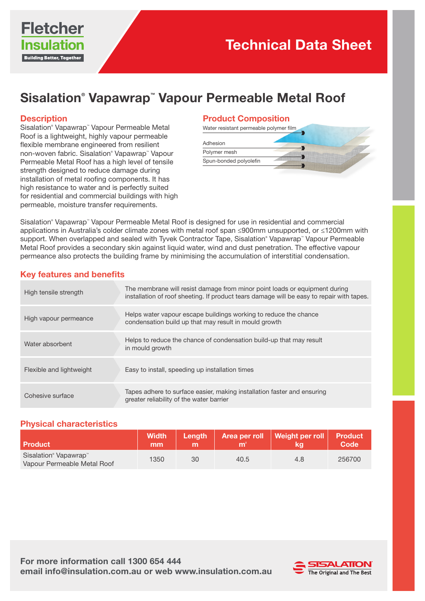

# Sisalation® Vapawrap™ Vapour Permeable Metal Roof

#### **Description**

Sisalation® Vapawrap™ Vapour Permeable Metal Roof is a lightweight, highly vapour permeable flexible membrane engineered from resilient non-woven fabric. Sisalation® Vapawrap™ Vapour Permeable Metal Roof has a high level of tensile strength designed to reduce damage during installation of metal roofing components. It has high resistance to water and is perfectly suited for residential and commercial buildings with high permeable, moisture transfer requirements.

#### Product Composition

| Water resistant permeable polymer film |  |
|----------------------------------------|--|
|                                        |  |
| Adhesion                               |  |
| Polymer mesh                           |  |
| Spun-bonded polyolefin                 |  |
|                                        |  |

Sisalation® Vapawrap™ Vapour Permeable Metal Roof is designed for use in residential and commercial applications in Australia's colder climate zones with metal roof span ≤900mm unsupported, or ≤1200mm with support. When overlapped and sealed with Tyvek Contractor Tape, Sisalation® Vapawrap™ Vapour Permeable Metal Roof provides a secondary skin against liquid water, wind and dust penetration. The effective vapour permeance also protects the building frame by minimising the accumulation of interstitial condensation.

### Key features and benefits

| High tensile strength    | The membrane will resist damage from minor point loads or equipment during<br>installation of roof sheeting. If product tears damage will be easy to repair with tapes. |
|--------------------------|-------------------------------------------------------------------------------------------------------------------------------------------------------------------------|
| High vapour permeance    | Helps water vapour escape buildings working to reduce the chance<br>condensation build up that may result in mould growth                                               |
| Water absorbent          | Helps to reduce the chance of condensation build-up that may result<br>in mould growth                                                                                  |
| Flexible and lightweight | Easy to install, speeding up installation times                                                                                                                         |
| Cohesive surface         | Tapes adhere to surface easier, making installation faster and ensuring<br>greater reliability of the water barrier                                                     |

## Physical characteristics

| <b>Product</b>                                                               | <b>Width</b><br>mm |    | m    | Length   Area per roll   Weight per roll   Product | 'Code  |
|------------------------------------------------------------------------------|--------------------|----|------|----------------------------------------------------|--------|
| Sisalation <sup>®</sup> Vapawrap <sup>™</sup><br>Vapour Permeable Metal Roof | 1350               | 30 | 40.5 | 4.8                                                | 256700 |

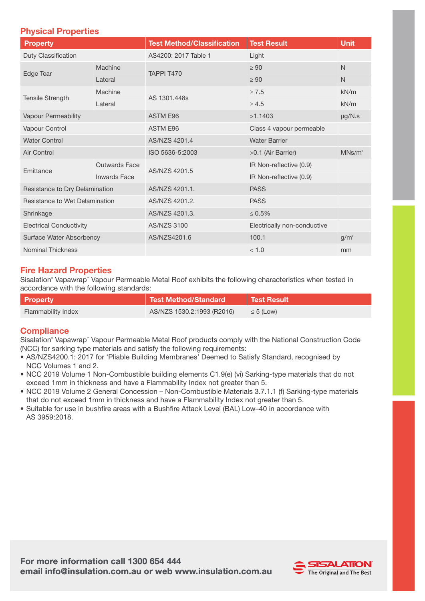## Physical Properties

| Property                       |                      | <b>Test Method/Classification</b> | <b>Test Result</b>          | <b>Unit</b>        |
|--------------------------------|----------------------|-----------------------------------|-----------------------------|--------------------|
| Duty Classification            |                      | AS4200: 2017 Table 1              | Light                       |                    |
| Edge Tear                      | Machine              | TAPPI T470                        | $\geq 90$                   | $\mathsf{N}$       |
|                                | Lateral              |                                   | $\geq 90$                   | $\mathsf{N}$       |
| <b>Tensile Strength</b>        | Machine              | AS 1301,448s                      | $\geq 7.5$                  | kN/m               |
|                                | Lateral              |                                   | $\geq 4.5$                  | kN/m               |
| Vapour Permeability            |                      | <b>ASTM E96</b>                   | >1.1403                     | $\mu$ g/N.s        |
| Vapour Control                 |                      | <b>ASTM E96</b>                   | Class 4 vapour permeable    |                    |
| <b>Water Control</b>           |                      | AS/NZS 4201.4                     | <b>Water Barrier</b>        |                    |
| Air Control                    |                      | ISO 5636-5:2003                   | >0.1 (Air Barrier)          | MNs/m <sup>3</sup> |
| Emittance                      | <b>Outwards Face</b> | AS/NZS 4201.5                     | IR Non-reflective (0.9)     |                    |
|                                | <b>Inwards Face</b>  |                                   | IR Non-reflective (0.9)     |                    |
| Resistance to Dry Delamination |                      | AS/NZS 4201.1.                    | <b>PASS</b>                 |                    |
| Resistance to Wet Delamination |                      | AS/NZS 4201.2.                    | <b>PASS</b>                 |                    |
| Shrinkage                      |                      | AS/NZS 4201.3.                    | $\leq 0.5\%$                |                    |
| <b>Electrical Conductivity</b> |                      | <b>AS/NZS 3100</b>                | Electrically non-conductive |                    |
| Surface Water Absorbency       |                      | AS/NZS4201.6                      | 100.1                       | $g/m^2$            |
| <b>Nominal Thickness</b>       |                      |                                   | < 1.0                       | mm                 |

## Fire Hazard Properties

Sisalation® Vapawrap™ Vapour Permeable Metal Roof exhibits the following characteristics when tested in accordance with the following standards:

| <b>Property</b>           | Test Method/Standard       | <b>Test Result</b> |
|---------------------------|----------------------------|--------------------|
| <b>Flammability Index</b> | AS/NZS 1530.2:1993 (R2016) | $\leq 5$ (Low)     |

## **Compliance**

Sisalation® Vapawrap™ Vapour Permeable Metal Roof products comply with the National Construction Code (NCC) for sarking type materials and satisfy the following requirements:

- AS/NZS4200.1: 2017 for 'Pliable Building Membranes' Deemed to Satisfy Standard, recognised by NCC Volumes 1 and 2.
- NCC 2019 Volume 1 Non-Combustible building elements C1.9(e) (vi) Sarking-type materials that do not exceed 1mm in thickness and have a Flammability Index not greater than 5.
- NCC 2019 Volume 2 General Concession Non-Combustible Materials 3.7.1.1 (f) Sarking-type materials that do not exceed 1mm in thickness and have a Flammability Index not greater than 5.
- Suitable for use in bushfire areas with a Bushfire Attack Level (BAL) Low–40 in accordance with AS 3959:2018.